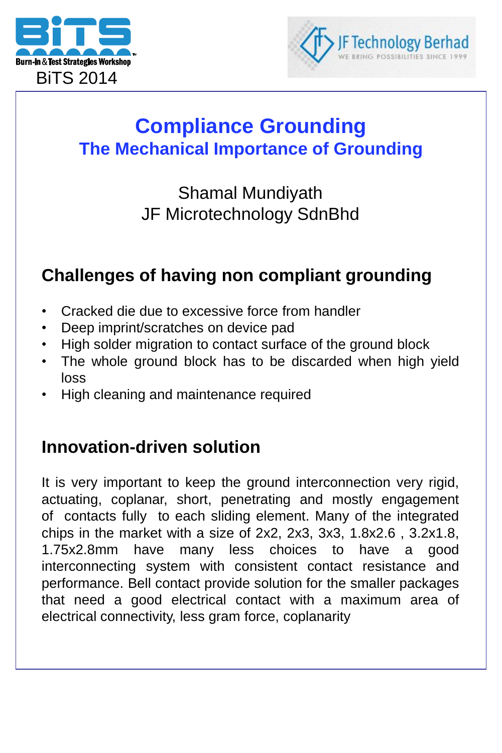



## **Compliance Grounding The Mechanical Importance of Grounding**

## Shamal Mundiyath JF Microtechnology SdnBhd

### **Challenges of having non compliant grounding**

- Cracked die due to excessive force from handler
- Deep imprint/scratches on device pad
- High solder migration to contact surface of the ground block
- The whole ground block has to be discarded when high yield loss
- High cleaning and maintenance required

### **Innovation-driven solution**

It is very important to keep the ground interconnection very rigid, actuating, coplanar, short, penetrating and mostly engagement of contacts fully to each sliding element. Many of the integrated chips in the market with a size of 2x2, 2x3, 3x3, 1.8x2.6 , 3.2x1.8, 1.75x2.8mm have many less choices to have a good interconnecting system with consistent contact resistance and performance. Bell contact provide solution for the smaller packages that need a good electrical contact with a maximum area of electrical connectivity, less gram force, coplanarity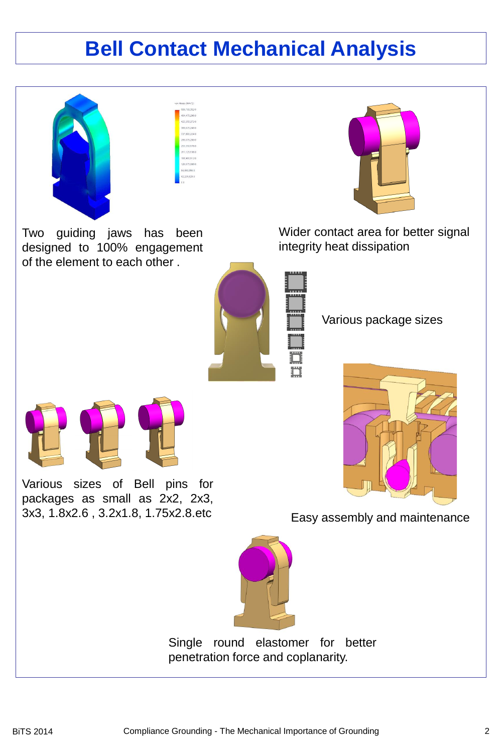## **Bell Contact Mechanical Analysis**



Two guiding jaws has been designed to 100% engagement of the element to each other .



Wider contact area for better signal integrity heat dissipation



Various package sizes



Easy assembly and maintenance



Single round elastomer for better penetration force and coplanarity.



Various sizes of Bell pins for packages as small as 2x2, 2x3, 3x3, 1.8x2.6 , 3.2x1.8, 1.75x2.8.etc